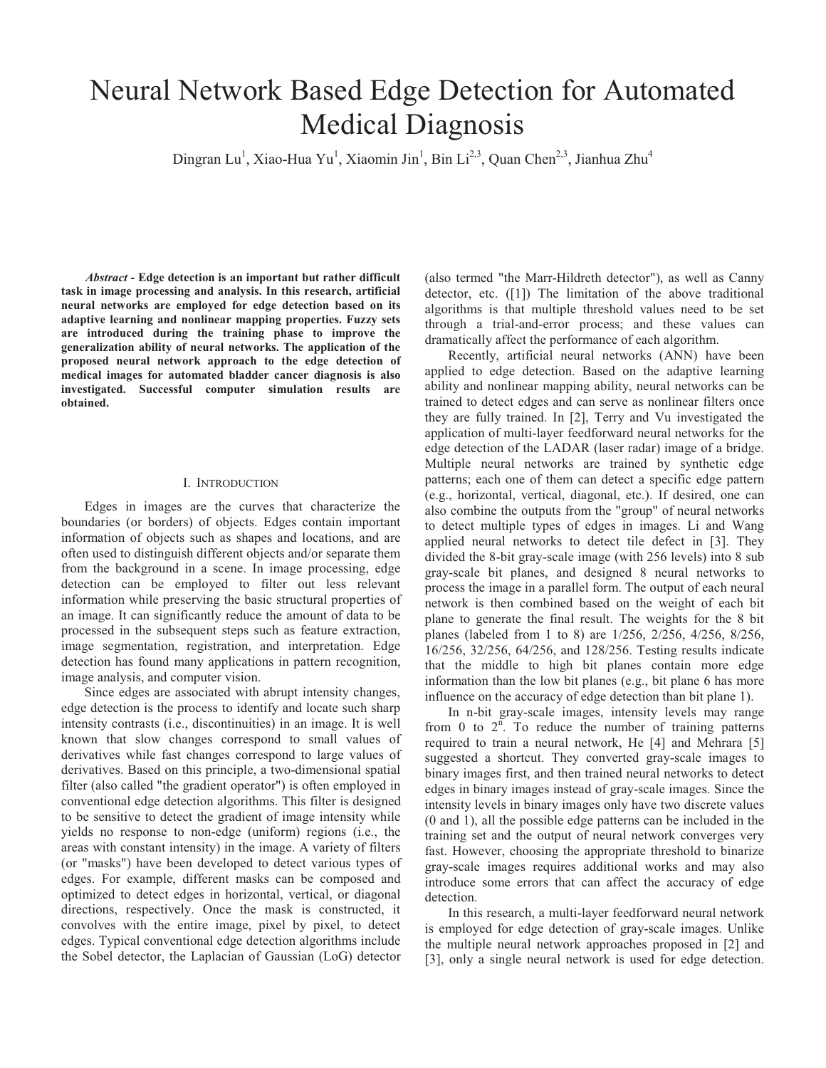# Neural Network Based Edge Detection for Automated Medical Diagnosis

Dingran Lu<sup>1</sup>, Xiao-Hua Yu<sup>1</sup>, Xiaomin Jin<sup>1</sup>, Bin Li<sup>2,3</sup>, Quan Chen<sup>2,3</sup>, Jianhua Zhu<sup>4</sup>

 **proposed neural network approach to the edge detection of**  *Abstract* **- Edge detection is an important but rather difficult task in image processing and analysis. In this research, artificial neural networks are employed for edge detection based on its adaptive learning and nonlinear mapping properties. Fuzzy sets are introduced during the training phase to improve the generalization ability of neural networks. The application of the medical images for automated bladder cancer diagnosis is also investigated. Successful computer simulation results are obtained.** 

### I. INTRODUCTION

Edges in images are the curves that characterize the boundaries (or borders) of objects. Edges contain important information of objects such as shapes and locations, and are often used to distinguish different objects and/or separate them from the background in a scene. In image processing, edge detection can be employed to filter out less relevant information while preserving the basic structural properties of an image. It can significantly reduce the amount of data to be processed in the subsequent steps such as feature extraction, image segmentation, registration, and interpretation. Edge detection has found many applications in pattern recognition, image analysis, and computer vision.

 edge detection is the process to identify and locate such sharp derivatives while fast changes correspond to large values of (or "masks") have been developed to detect various types of Since edges are associated with abrupt intensity changes, intensity contrasts (i.e., discontinuities) in an image. It is well known that slow changes correspond to small values of derivatives. Based on this principle, a two-dimensional spatial filter (also called "the gradient operator") is often employed in conventional edge detection algorithms. This filter is designed to be sensitive to detect the gradient of image intensity while yields no response to non-edge (uniform) regions (i.e., the areas with constant intensity) in the image. A variety of filters edges. For example, different masks can be composed and optimized to detect edges in horizontal, vertical, or diagonal directions, respectively. Once the mask is constructed, it convolves with the entire image, pixel by pixel, to detect edges. Typical conventional edge detection algorithms include the Sobel detector, the Laplacian of Gaussian (LoG) detector

(also termed "the Marr-Hildreth detector"), as well as Canny detector, etc. ([1]) The limitation of the above traditional algorithms is that multiple threshold values need to be set through a trial-and-error process; and these values can dramatically affect the performance of each algorithm.

 ability and nonlinear mapping ability, neural networks can be that the middle to high bit planes contain more edge Recently, artificial neural networks (ANN) have been applied to edge detection. Based on the adaptive learning trained to detect edges and can serve as nonlinear filters once they are fully trained. In [2], Terry and Vu investigated the application of multi-layer feedforward neural networks for the edge detection of the LADAR (laser radar) image of a bridge. Multiple neural networks are trained by synthetic edge patterns; each one of them can detect a specific edge pattern (e.g., horizontal, vertical, diagonal, etc.). If desired, one can also combine the outputs from the "group" of neural networks to detect multiple types of edges in images. Li and Wang applied neural networks to detect tile defect in [3]. They divided the 8-bit gray-scale image (with 256 levels) into 8 sub gray-scale bit planes, and designed 8 neural networks to process the image in a parallel form. The output of each neural network is then combined based on the weight of each bit plane to generate the final result. The weights for the 8 bit planes (labeled from 1 to 8) are 1/256, 2/256, 4/256, 8/256, 16/256, 32/256, 64/256, and 128/256. Testing results indicate information than the low bit planes (e.g., bit plane 6 has more influence on the accuracy of edge detection than bit plane 1).

 gray-scale images requires additional works and may also In n-bit gray-scale images, intensity levels may range from  $0$  to  $2^n$ . To reduce the number of training patterns required to train a neural network, He [4] and Mehrara [5] suggested a shortcut. They converted gray-scale images to binary images first, and then trained neural networks to detect edges in binary images instead of gray-scale images. Since the intensity levels in binary images only have two discrete values (0 and 1), all the possible edge patterns can be included in the training set and the output of neural network converges very fast. However, choosing the appropriate threshold to binarize introduce some errors that can affect the accuracy of edge detection.

In this research, a multi-layer feedforward neural network is employed for edge detection of gray-scale images. Unlike the multiple neural network approaches proposed in [2] and [3], only a single neural network is used for edge detection.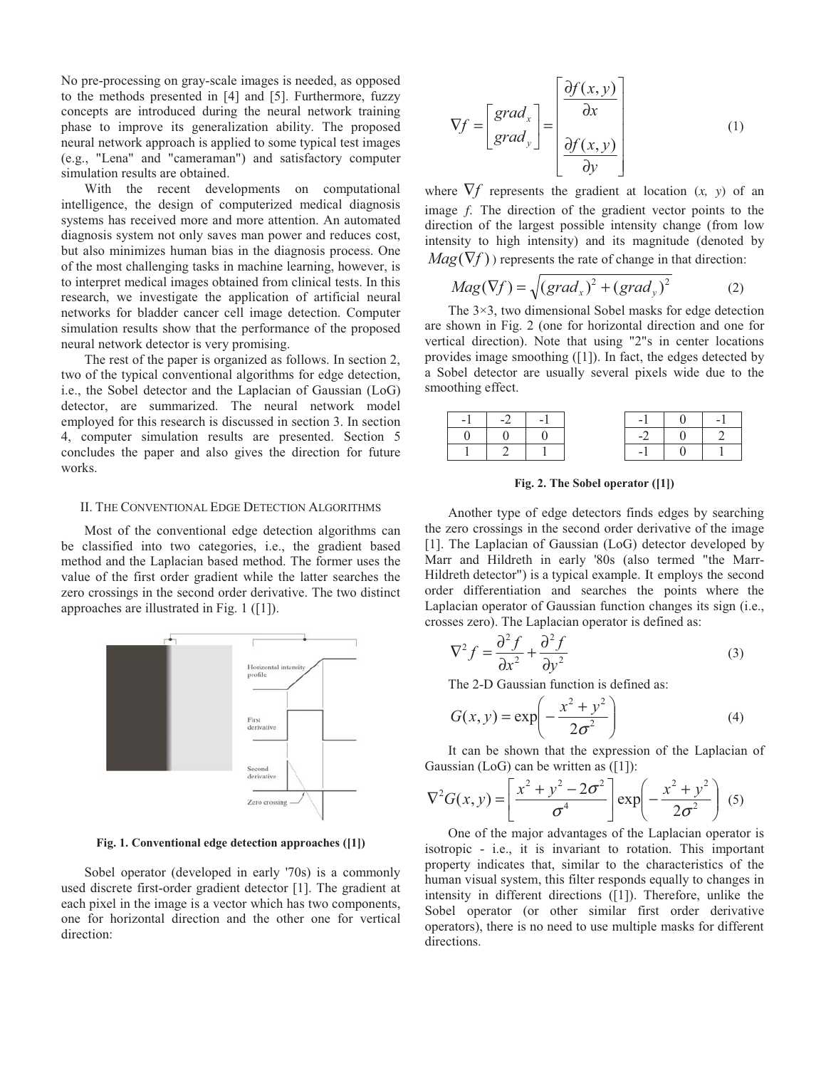No pre-processing on gray-scale images is needed, as opposed to the methods presented in [4] and [5]. Furthermore, fuzzy concepts are introduced during the neural network training phase to improve its generalization ability. The proposed neural network approach is applied to some typical test images (e.g., "Lena" and "cameraman") and satisfactory computer simulation results are obtained.

 but also minimizes human bias in the diagnosis process. One of the most challenging tasks in machine learning, however, is With the recent developments on computational intelligence, the design of computerized medical diagnosis systems has received more and more attention. An automated diagnosis system not only saves man power and reduces cost, to interpret medical images obtained from clinical tests. In this research, we investigate the application of artificial neural networks for bladder cancer cell image detection. Computer simulation results show that the performance of the proposed neural network detector is very promising.

The rest of the paper is organized as follows. In section 2, two of the typical conventional algorithms for edge detection, i.e., the Sobel detector and the Laplacian of Gaussian (LoG) detector, are summarized. The neural network model employed for this research is discussed in section 3. In section 4, computer simulation results are presented. Section 5 concludes the paper and also gives the direction for future works.

## II. THE CONVENTIONAL EDGE DETECTION ALGORITHMS

Most of the conventional edge detection algorithms can be classified into two categories, i.e., the gradient based method and the Laplacian based method. The former uses the value of the first order gradient while the latter searches the zero crossings in the second order derivative. The two distinct approaches are illustrated in Fig. 1 ([1]).



**Fig. 1. Conventional edge detection approaches ([1])** 

Sobel operator (developed in early '70s) is a commonly used discrete first-order gradient detector [1]. The gradient at each pixel in the image is a vector which has two components, one for horizontal direction and the other one for vertical direction:

$$
\nabla f = \begin{bmatrix} grad_x \\ grad_y \end{bmatrix} = \begin{bmatrix} \frac{\partial f(x, y)}{\partial x} \\ \frac{\partial f(x, y)}{\partial y} \end{bmatrix}
$$
 (1)

where  $\nabla f$  represents the gradient at location  $(x, y)$  of an image *f*. The direction of the gradient vector points to the direction of the largest possible intensity change (from low intensity to high intensity) and its magnitude (denoted by  $Mag(\nabla f)$  represents the rate of change in that direction:

$$
Mag(\nabla f) = \sqrt{(grad_x)^2 + (grad_y)^2}
$$
 (2)

The 3×3, two dimensional Sobel masks for edge detection are shown in Fig. 2 (one for horizontal direction and one for vertical direction). Note that using "2"s in center locations provides image smoothing ([1]). In fact, the edges detected by a Sobel detector are usually several pixels wide due to the smoothing effect.

| ä, | $-2$ | $\sim$ |  |  |
|----|------|--------|--|--|
|    |      |        |  |  |
|    |      |        |  |  |

**Fig. 2. The Sobel operator ([1])** 

Another type of edge detectors finds edges by searching the zero crossings in the second order derivative of the image [1]. The Laplacian of Gaussian (LoG) detector developed by Marr and Hildreth in early '80s (also termed "the Marr-Hildreth detector") is a typical example. It employs the second order differentiation and searches the points where the Laplacian operator of Gaussian function changes its sign (i.e., crosses zero). The Laplacian operator is defined as:

$$
\nabla^2 f = \frac{\partial^2 f}{\partial x^2} + \frac{\partial^2 f}{\partial y^2}
$$
 (3)

The 2-D Gaussian function is defined as:

$$
G(x, y) = \exp\left(-\frac{x^2 + y^2}{2\sigma^2}\right)
$$
 (4)

It can be shown that the expression of the Laplacian of Gaussian (LoG) can be written as ([1]):

$$
\nabla^2 G(x, y) = \left[ \frac{x^2 + y^2 - 2\sigma^2}{\sigma^4} \right] \exp\left( -\frac{x^2 + y^2}{2\sigma^2} \right) \tag{5}
$$

 One of the major advantages of the Laplacian operator is isotropic - i.e., it is invariant to rotation. This important property indicates that, similar to the characteristics of the human visual system, this filter responds equally to changes in intensity in different directions ([1]). Therefore, unlike the Sobel operator (or other similar first order derivative operators), there is no need to use multiple masks for different directions.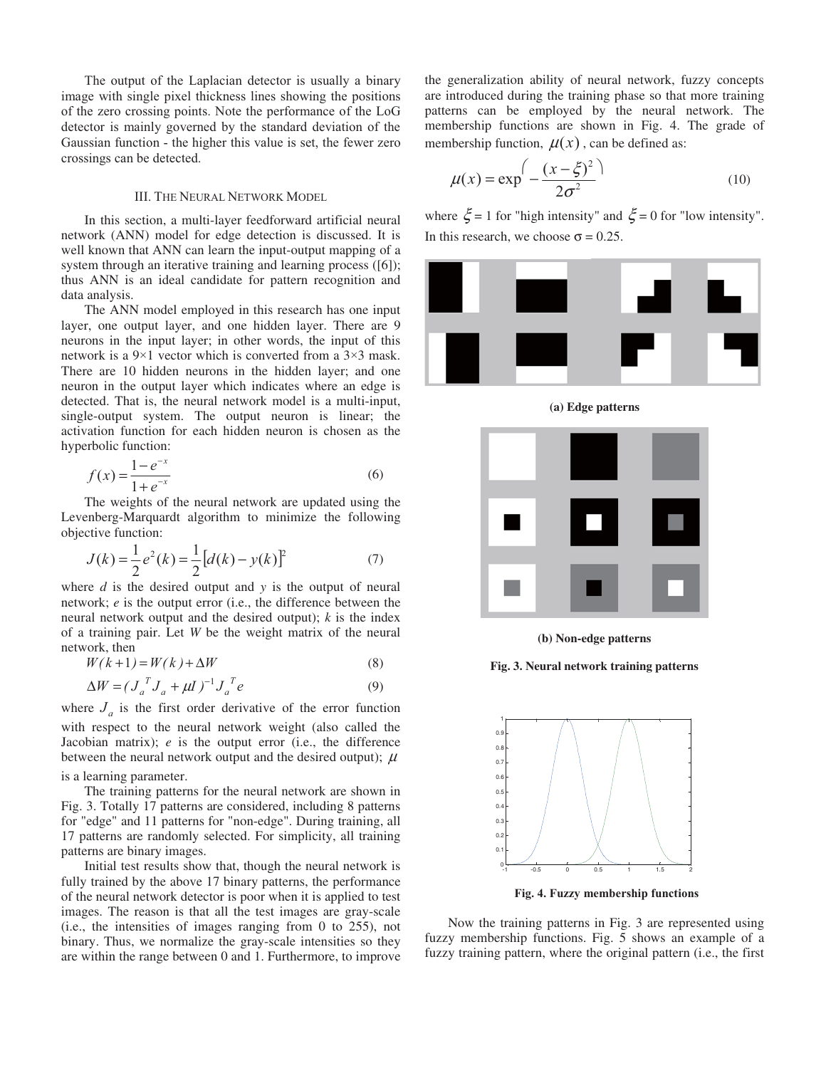The output of the Laplacian detector is usually a binary image with single pixel thickness lines showing the positions of the zero crossing points. Note the performance of the LoG detector is mainly governed by the standard deviation of the Gaussian function - the higher this value is set, the fewer zero crossings can be detected.

### III. THE NEURAL NETWORK MODEL

In this section, a multi-layer feedforward artificial neural network (ANN) model for edge detection is discussed. It is well known that ANN can learn the input-output mapping of a system through an iterative training and learning process ([6]); thus ANN is an ideal candidate for pattern recognition and data analysis.

The ANN model employed in this research has one input layer, one output layer, and one hidden layer. There are 9 neurons in the input layer; in other words, the input of this network is a 9×1 vector which is converted from a 3×3 mask. There are 10 hidden neurons in the hidden layer; and one neuron in the output layer which indicates where an edge is detected. That is, the neural network model is a multi-input, single-output system. The output neuron is linear; the activation function for each hidden neuron is chosen as the hyperbolic function:

$$
f(x) = \frac{1 - e^{-x}}{1 + e^{-x}}
$$
 (6)

The weights of the neural network are updated using the Levenberg-Marquardt algorithm to minimize the following objective function:

$$
J(k) = \frac{1}{2}e^{2}(k) = \frac{1}{2}[d(k) - y(k)]^{2}
$$
 (7)

where *d* is the desired output and *y* is the output of neural network; *e* is the output error (i.e., the difference between the neural network output and the desired output); *k* is the index of a training pair. Let *W* be the weight matrix of the neural network, then

$$
W(k+1) = W(k) + \Delta W \tag{8}
$$

$$
\Delta W = \left(J_a^T J_a + \mu I\right)^{-1} J_a^T e \tag{9}
$$

where  $J_a$  is the first order derivative of the error function with respect to the neural network weight (also called the Jacobian matrix); *e* is the output error (i.e., the difference between the neural network output and the desired output);  $\mu$ is a learning parameter.

The training patterns for the neural network are shown in Fig. 3. Totally 17 patterns are considered, including 8 patterns for "edge" and 11 patterns for "non-edge". During training, all 17 patterns are randomly selected. For simplicity, all training patterns are binary images.

 (i.e., the intensities of images ranging from 0 to 255), not Initial test results show that, though the neural network is fully trained by the above 17 binary patterns, the performance of the neural network detector is poor when it is applied to test images. The reason is that all the test images are gray-scale binary. Thus, we normalize the gray-scale intensities so they are within the range between 0 and 1. Furthermore, to improve

the generalization ability of neural network, fuzzy concepts are introduced during the training phase so that more training patterns can be employed by the neural network. The membership functions are shown in Fig. 4. The grade of membership function,  $\mu(x)$ , can be defined as:

$$
\mu(x) = \exp\left(-\frac{(x-\xi)^2}{2\sigma^2}\right) \tag{10}
$$

where  $\xi = 1$  for "high intensity" and  $\xi = 0$  for "low intensity". In this research, we choose  $\sigma = 0.25$ .



**(a) Edge patterns** 



**(b) Non-edge patterns** 

**Fig. 3. Neural network training patterns** 



**Fig. 4. Fuzzy membership functions** 

Now the training patterns in Fig. 3 are represented using fuzzy membership functions. Fig. 5 shows an example of a fuzzy training pattern, where the original pattern (i.e., the first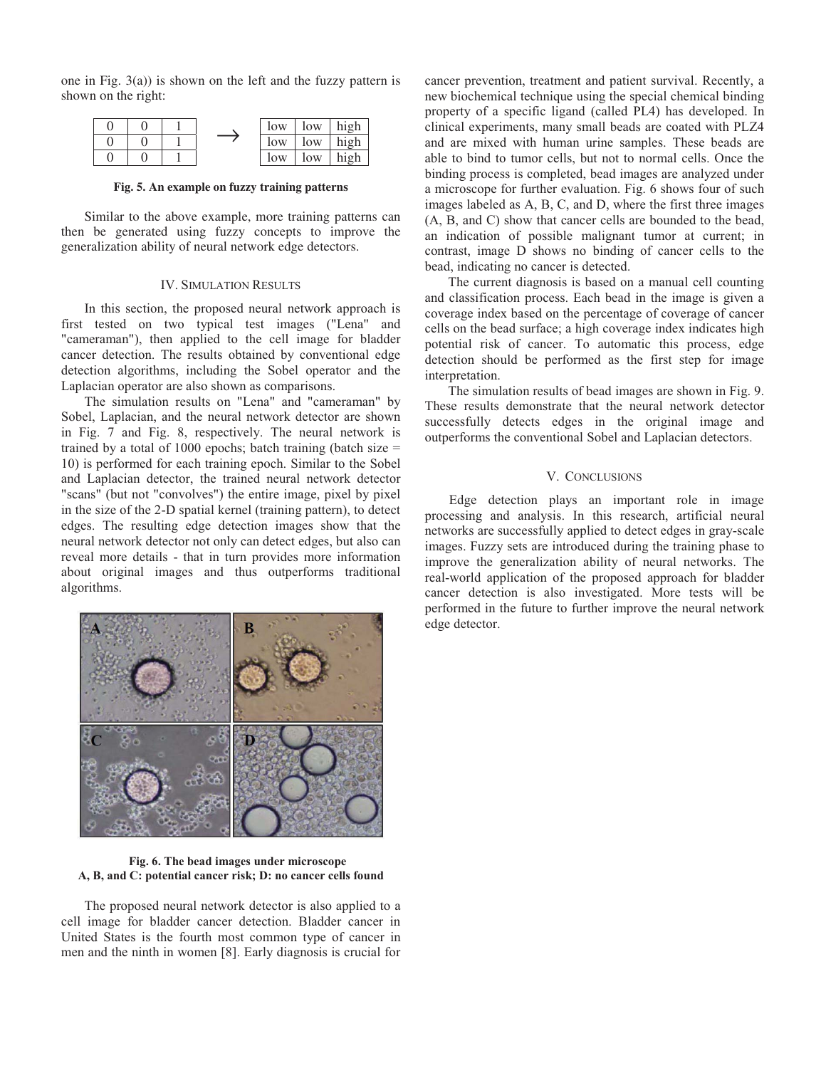one in Fig.  $3(a)$ ) is shown on the left and the fuzzy pattern is shown on the right:



**Fig. 5. An example on fuzzy training patterns** 

Similar to the above example, more training patterns can then be generated using fuzzy concepts to improve the generalization ability of neural network edge detectors.

#### IV. SIMULATION RESULTS

In this section, the proposed neural network approach is first tested on two typical test images ("Lena" and "cameraman"), then applied to the cell image for bladder cancer detection. The results obtained by conventional edge detection algorithms, including the Sobel operator and the Laplacian operator are also shown as comparisons.

The simulation results on "Lena" and "cameraman" by Sobel, Laplacian, and the neural network detector are shown in Fig. 7 and Fig. 8, respectively. The neural network is trained by a total of 1000 epochs; batch training (batch size  $=$ 10) is performed for each training epoch. Similar to the Sobel and Laplacian detector, the trained neural network detector "scans" (but not "convolves") the entire image, pixel by pixel in the size of the 2-D spatial kernel (training pattern), to detect edges. The resulting edge detection images show that the neural network detector not only can detect edges, but also can reveal more details - that in turn provides more information about original images and thus outperforms traditional algorithms.



**Fig. 6. The bead images under microscope A, B, and C: potential cancer risk; D: no cancer cells found** 

 United States is the fourth most common type of cancer in The proposed neural network detector is also applied to a cell image for bladder cancer detection. Bladder cancer in men and the ninth in women [8]. Early diagnosis is crucial for

 and are mixed with human urine samples. These beads are a microscope for further evaluation. Fig. 6 shows four of such (A, B, and C) show that cancer cells are bounded to the bead, cancer prevention, treatment and patient survival. Recently, a new biochemical technique using the special chemical binding property of a specific ligand (called PL4) has developed. In clinical experiments, many small beads are coated with PLZ4 able to bind to tumor cells, but not to normal cells. Once the binding process is completed, bead images are analyzed under images labeled as A, B, C, and D, where the first three images an indication of possible malignant tumor at current; in contrast, image D shows no binding of cancer cells to the bead, indicating no cancer is detected.

The current diagnosis is based on a manual cell counting and classification process. Each bead in the image is given a coverage index based on the percentage of coverage of cancer cells on the bead surface; a high coverage index indicates high potential risk of cancer. To automatic this process, edge detection should be performed as the first step for image interpretation.

The simulation results of bead images are shown in Fig. 9. These results demonstrate that the neural network detector successfully detects edges in the original image and outperforms the conventional Sobel and Laplacian detectors.

## V. CONCLUSIONS

 cancer detection is also investigated. More tests will be Edge detection plays an important role in image processing and analysis. In this research, artificial neural networks are successfully applied to detect edges in gray-scale images. Fuzzy sets are introduced during the training phase to improve the generalization ability of neural networks. The real-world application of the proposed approach for bladder performed in the future to further improve the neural network edge detector.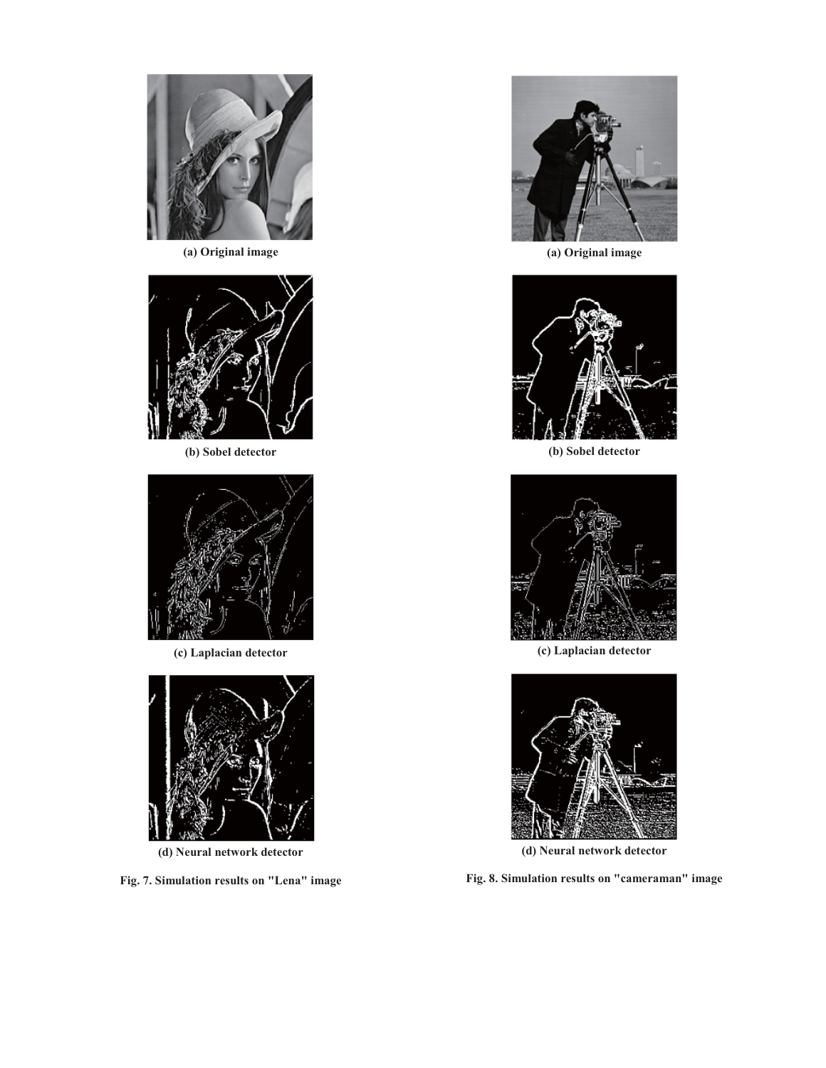

**(a) Original image (a) Original image** 







**(d) Neural network detector** 

**Fig. 7. Simulation results on "Lena" image** 





**(b) Sobel detector (b) Sobel detector** 



**(c) Laplacian detector (c) Laplacian detector** 



**(d) Neural network detector** 

**Fig. 8. Simulation results on "cameraman" image**